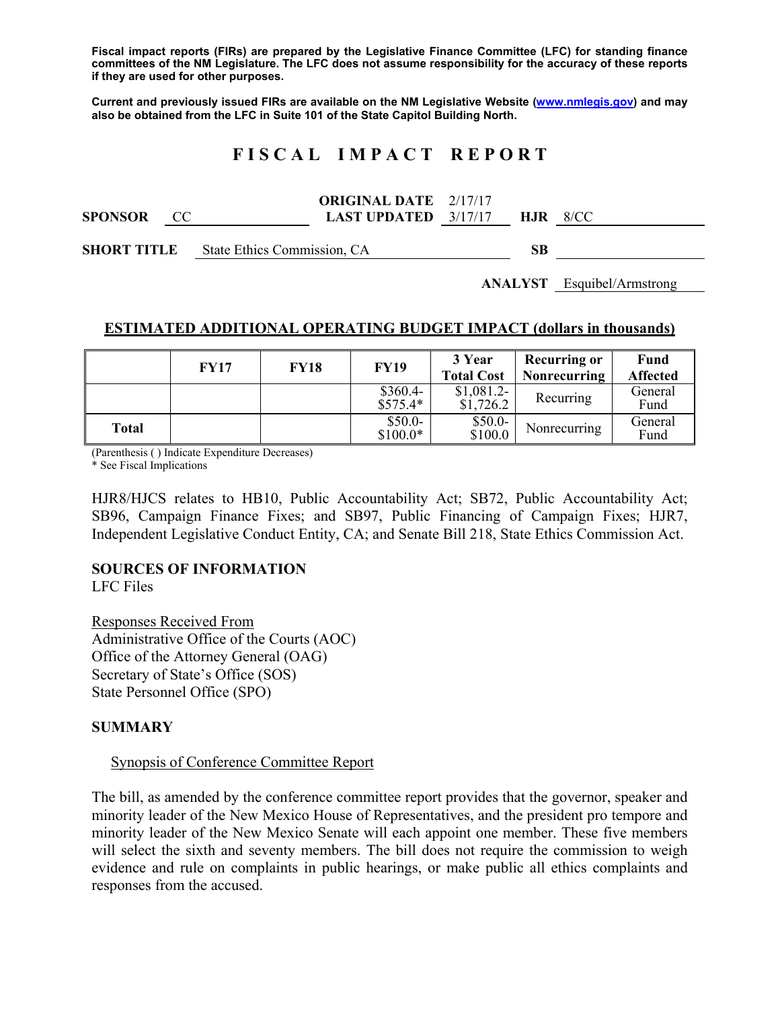**Fiscal impact reports (FIRs) are prepared by the Legislative Finance Committee (LFC) for standing finance committees of the NM Legislature. The LFC does not assume responsibility for the accuracy of these reports if they are used for other purposes.** 

**Current and previously issued FIRs are available on the NM Legislative Website (www.nmlegis.gov) and may also be obtained from the LFC in Suite 101 of the State Capitol Building North.** 

# **F I S C A L I M P A C T R E P O R T**

**SPONSOR** CC **ORIGINAL DATE**  2/17/17 **LAST UPDATED**  3/17/17 **HJR** 8/CC

**SHORT TITLE** State Ethics Commission, CA **SB** 

**ANALYST** Esquibel/Armstrong

#### **ESTIMATED ADDITIONAL OPERATING BUDGET IMPACT (dollars in thousands)**

|       | <b>FY17</b> | <b>FY18</b> | <b>FY19</b>            | 3 Year<br><b>Total Cost</b> | <b>Recurring or</b><br>Nonrecurring | Fund<br><b>Affected</b> |
|-------|-------------|-------------|------------------------|-----------------------------|-------------------------------------|-------------------------|
|       |             |             | $$360.4-$<br>$$575.4*$ | \$1,081.2<br>\$1,726.2      | Recurring                           | General<br>Fund         |
| Total |             |             | $$50.0-$<br>$$100.0*$  | $$50.0-$<br>\$100.0         | Nonrecurring                        | General<br>Fund         |

(Parenthesis ( ) Indicate Expenditure Decreases)

\* See Fiscal Implications

HJR8/HJCS relates to HB10, Public Accountability Act; SB72, Public Accountability Act; SB96, Campaign Finance Fixes; and SB97, Public Financing of Campaign Fixes; HJR7, Independent Legislative Conduct Entity, CA; and Senate Bill 218, State Ethics Commission Act.

## **SOURCES OF INFORMATION**

LFC Files

Responses Received From Administrative Office of the Courts (AOC) Office of the Attorney General (OAG) Secretary of State's Office (SOS) State Personnel Office (SPO)

#### **SUMMARY**

#### Synopsis of Conference Committee Report

The bill, as amended by the conference committee report provides that the governor, speaker and minority leader of the New Mexico House of Representatives, and the president pro tempore and minority leader of the New Mexico Senate will each appoint one member. These five members will select the sixth and seventy members. The bill does not require the commission to weigh evidence and rule on complaints in public hearings, or make public all ethics complaints and responses from the accused.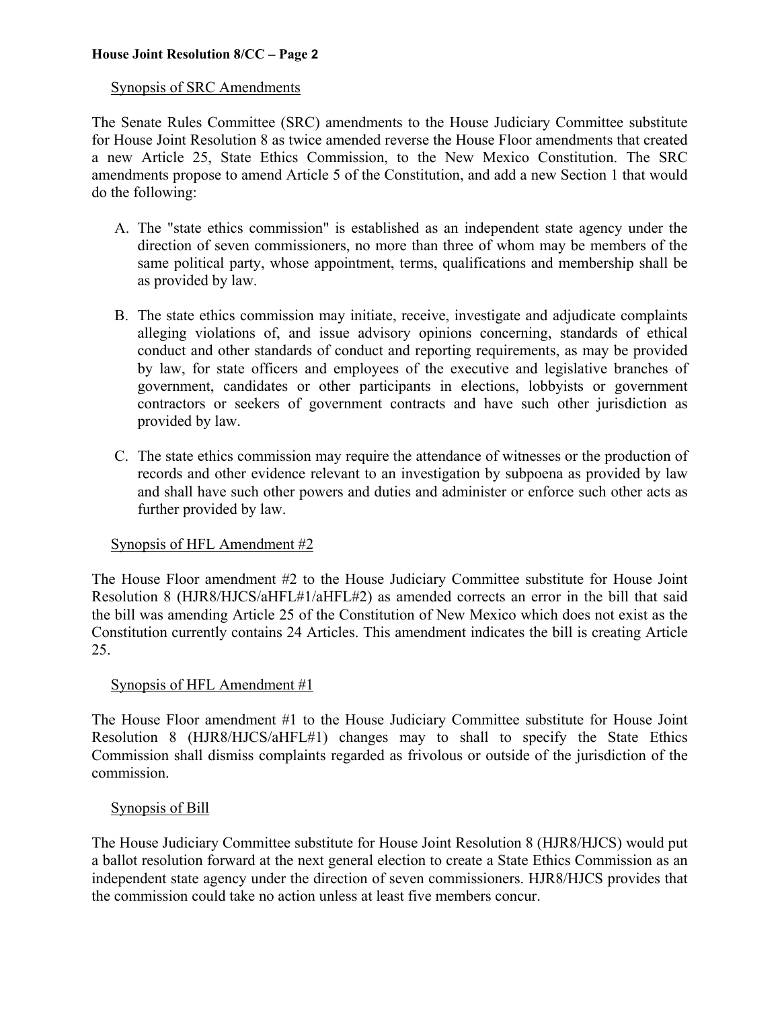#### Synopsis of SRC Amendments

The Senate Rules Committee (SRC) amendments to the House Judiciary Committee substitute for House Joint Resolution 8 as twice amended reverse the House Floor amendments that created a new Article 25, State Ethics Commission, to the New Mexico Constitution. The SRC amendments propose to amend Article 5 of the Constitution, and add a new Section 1 that would do the following:

- A. The "state ethics commission" is established as an independent state agency under the direction of seven commissioners, no more than three of whom may be members of the same political party, whose appointment, terms, qualifications and membership shall be as provided by law.
- B. The state ethics commission may initiate, receive, investigate and adjudicate complaints alleging violations of, and issue advisory opinions concerning, standards of ethical conduct and other standards of conduct and reporting requirements, as may be provided by law, for state officers and employees of the executive and legislative branches of government, candidates or other participants in elections, lobbyists or government contractors or seekers of government contracts and have such other jurisdiction as provided by law.
- C. The state ethics commission may require the attendance of witnesses or the production of records and other evidence relevant to an investigation by subpoena as provided by law and shall have such other powers and duties and administer or enforce such other acts as further provided by law.

## Synopsis of HFL Amendment #2

The House Floor amendment #2 to the House Judiciary Committee substitute for House Joint Resolution 8 (HJR8/HJCS/aHFL#1/aHFL#2) as amended corrects an error in the bill that said the bill was amending Article 25 of the Constitution of New Mexico which does not exist as the Constitution currently contains 24 Articles. This amendment indicates the bill is creating Article 25.

## Synopsis of HFL Amendment  $#1$

The House Floor amendment #1 to the House Judiciary Committee substitute for House Joint Resolution 8 (HJR8/HJCS/aHFL#1) changes may to shall to specify the State Ethics Commission shall dismiss complaints regarded as frivolous or outside of the jurisdiction of the commission.

## Synopsis of Bill

The House Judiciary Committee substitute for House Joint Resolution 8 (HJR8/HJCS) would put a ballot resolution forward at the next general election to create a State Ethics Commission as an independent state agency under the direction of seven commissioners. HJR8/HJCS provides that the commission could take no action unless at least five members concur.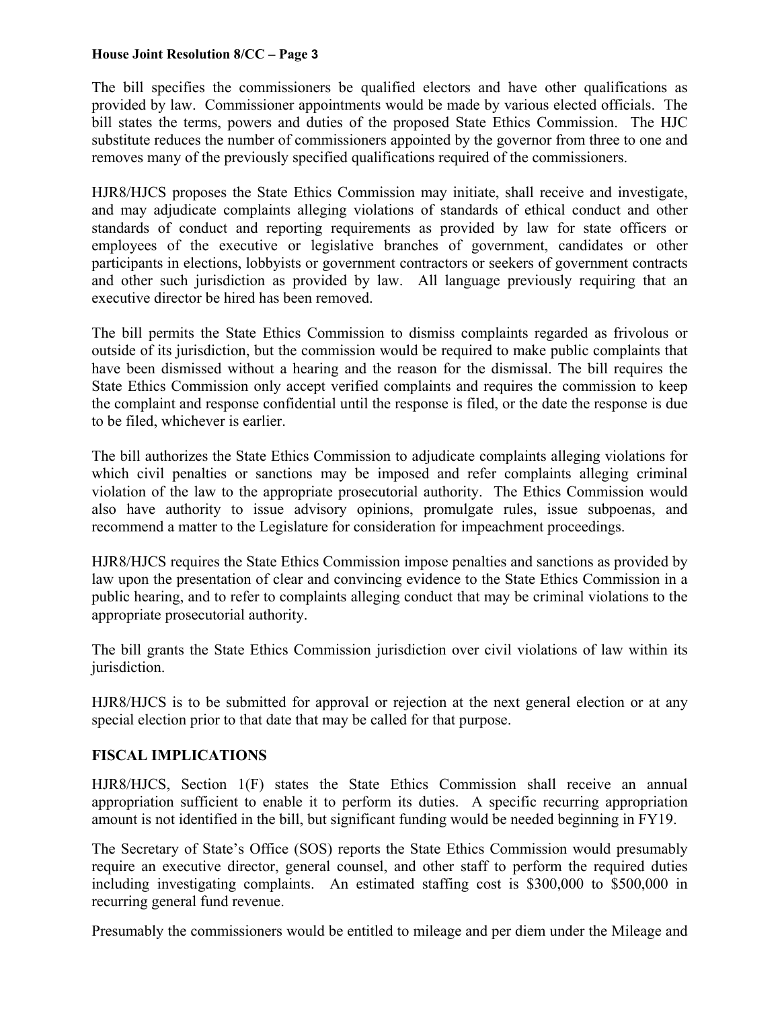The bill specifies the commissioners be qualified electors and have other qualifications as provided by law. Commissioner appointments would be made by various elected officials. The bill states the terms, powers and duties of the proposed State Ethics Commission. The HJC substitute reduces the number of commissioners appointed by the governor from three to one and removes many of the previously specified qualifications required of the commissioners.

HJR8/HJCS proposes the State Ethics Commission may initiate, shall receive and investigate, and may adjudicate complaints alleging violations of standards of ethical conduct and other standards of conduct and reporting requirements as provided by law for state officers or employees of the executive or legislative branches of government, candidates or other participants in elections, lobbyists or government contractors or seekers of government contracts and other such jurisdiction as provided by law. All language previously requiring that an executive director be hired has been removed.

The bill permits the State Ethics Commission to dismiss complaints regarded as frivolous or outside of its jurisdiction, but the commission would be required to make public complaints that have been dismissed without a hearing and the reason for the dismissal. The bill requires the State Ethics Commission only accept verified complaints and requires the commission to keep the complaint and response confidential until the response is filed, or the date the response is due to be filed, whichever is earlier.

The bill authorizes the State Ethics Commission to adjudicate complaints alleging violations for which civil penalties or sanctions may be imposed and refer complaints alleging criminal violation of the law to the appropriate prosecutorial authority. The Ethics Commission would also have authority to issue advisory opinions, promulgate rules, issue subpoenas, and recommend a matter to the Legislature for consideration for impeachment proceedings.

HJR8/HJCS requires the State Ethics Commission impose penalties and sanctions as provided by law upon the presentation of clear and convincing evidence to the State Ethics Commission in a public hearing, and to refer to complaints alleging conduct that may be criminal violations to the appropriate prosecutorial authority.

The bill grants the State Ethics Commission jurisdiction over civil violations of law within its jurisdiction.

HJR8/HJCS is to be submitted for approval or rejection at the next general election or at any special election prior to that date that may be called for that purpose.

## **FISCAL IMPLICATIONS**

HJR8/HJCS, Section 1(F) states the State Ethics Commission shall receive an annual appropriation sufficient to enable it to perform its duties. A specific recurring appropriation amount is not identified in the bill, but significant funding would be needed beginning in FY19.

The Secretary of State's Office (SOS) reports the State Ethics Commission would presumably require an executive director, general counsel, and other staff to perform the required duties including investigating complaints. An estimated staffing cost is \$300,000 to \$500,000 in recurring general fund revenue.

Presumably the commissioners would be entitled to mileage and per diem under the Mileage and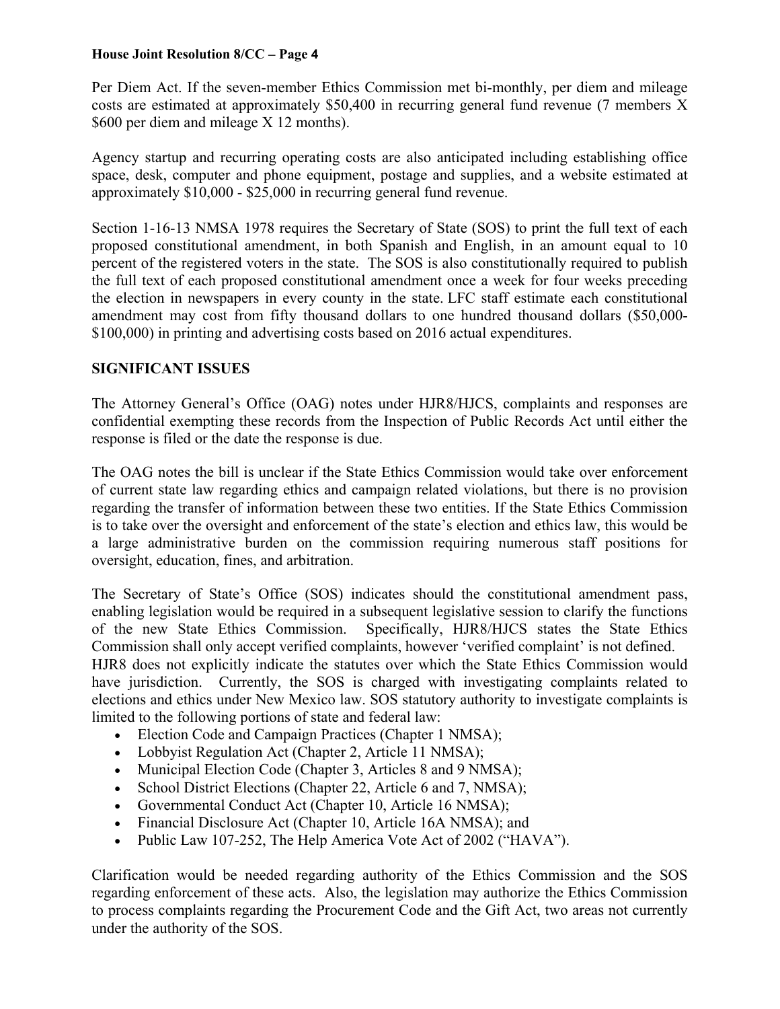Per Diem Act. If the seven-member Ethics Commission met bi-monthly, per diem and mileage costs are estimated at approximately \$50,400 in recurring general fund revenue (7 members X \$600 per diem and mileage X 12 months).

Agency startup and recurring operating costs are also anticipated including establishing office space, desk, computer and phone equipment, postage and supplies, and a website estimated at approximately \$10,000 - \$25,000 in recurring general fund revenue.

Section 1-16-13 NMSA 1978 requires the Secretary of State (SOS) to print the full text of each proposed constitutional amendment, in both Spanish and English, in an amount equal to 10 percent of the registered voters in the state. The SOS is also constitutionally required to publish the full text of each proposed constitutional amendment once a week for four weeks preceding the election in newspapers in every county in the state. LFC staff estimate each constitutional amendment may cost from fifty thousand dollars to one hundred thousand dollars (\$50,000- \$100,000) in printing and advertising costs based on 2016 actual expenditures.

# **SIGNIFICANT ISSUES**

The Attorney General's Office (OAG) notes under HJR8/HJCS, complaints and responses are confidential exempting these records from the Inspection of Public Records Act until either the response is filed or the date the response is due.

The OAG notes the bill is unclear if the State Ethics Commission would take over enforcement of current state law regarding ethics and campaign related violations, but there is no provision regarding the transfer of information between these two entities. If the State Ethics Commission is to take over the oversight and enforcement of the state's election and ethics law, this would be a large administrative burden on the commission requiring numerous staff positions for oversight, education, fines, and arbitration.

The Secretary of State's Office (SOS) indicates should the constitutional amendment pass, enabling legislation would be required in a subsequent legislative session to clarify the functions of the new State Ethics Commission. Specifically, HJR8/HJCS states the State Ethics Commission shall only accept verified complaints, however 'verified complaint' is not defined. HJR8 does not explicitly indicate the statutes over which the State Ethics Commission would have jurisdiction. Currently, the SOS is charged with investigating complaints related to elections and ethics under New Mexico law. SOS statutory authority to investigate complaints is limited to the following portions of state and federal law:

- Election Code and Campaign Practices (Chapter 1 NMSA);
- Lobbyist Regulation Act (Chapter 2, Article 11 NMSA);
- Municipal Election Code (Chapter 3, Articles 8 and 9 NMSA);
- School District Elections (Chapter 22, Article 6 and 7, NMSA);
- Governmental Conduct Act (Chapter 10, Article 16 NMSA);
- Financial Disclosure Act (Chapter 10, Article 16A NMSA); and
- Public Law 107-252, The Help America Vote Act of 2002 ("HAVA").

Clarification would be needed regarding authority of the Ethics Commission and the SOS regarding enforcement of these acts. Also, the legislation may authorize the Ethics Commission to process complaints regarding the Procurement Code and the Gift Act, two areas not currently under the authority of the SOS.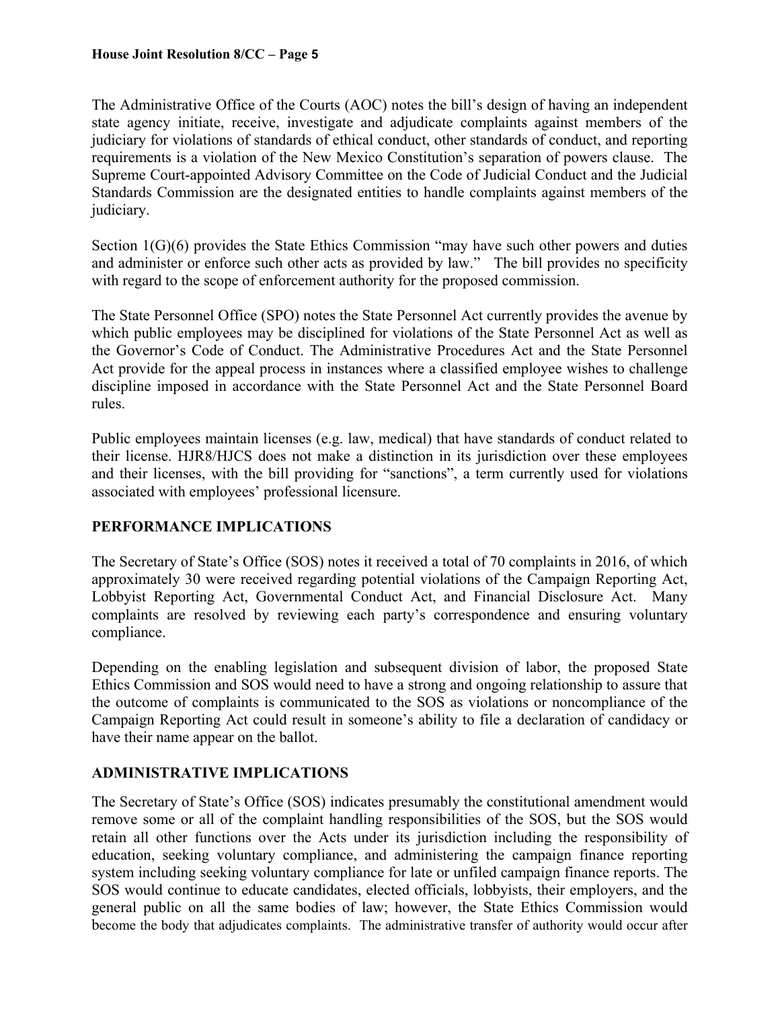The Administrative Office of the Courts (AOC) notes the bill's design of having an independent state agency initiate, receive, investigate and adjudicate complaints against members of the judiciary for violations of standards of ethical conduct, other standards of conduct, and reporting requirements is a violation of the New Mexico Constitution's separation of powers clause. The Supreme Court-appointed Advisory Committee on the Code of Judicial Conduct and the Judicial Standards Commission are the designated entities to handle complaints against members of the judiciary.

Section 1(G)(6) provides the State Ethics Commission "may have such other powers and duties and administer or enforce such other acts as provided by law." The bill provides no specificity with regard to the scope of enforcement authority for the proposed commission.

The State Personnel Office (SPO) notes the State Personnel Act currently provides the avenue by which public employees may be disciplined for violations of the State Personnel Act as well as the Governor's Code of Conduct. The Administrative Procedures Act and the State Personnel Act provide for the appeal process in instances where a classified employee wishes to challenge discipline imposed in accordance with the State Personnel Act and the State Personnel Board rules.

Public employees maintain licenses (e.g. law, medical) that have standards of conduct related to their license. HJR8/HJCS does not make a distinction in its jurisdiction over these employees and their licenses, with the bill providing for "sanctions", a term currently used for violations associated with employees' professional licensure.

# **PERFORMANCE IMPLICATIONS**

The Secretary of State's Office (SOS) notes it received a total of 70 complaints in 2016, of which approximately 30 were received regarding potential violations of the Campaign Reporting Act, Lobbyist Reporting Act, Governmental Conduct Act, and Financial Disclosure Act. Many complaints are resolved by reviewing each party's correspondence and ensuring voluntary compliance.

Depending on the enabling legislation and subsequent division of labor, the proposed State Ethics Commission and SOS would need to have a strong and ongoing relationship to assure that the outcome of complaints is communicated to the SOS as violations or noncompliance of the Campaign Reporting Act could result in someone's ability to file a declaration of candidacy or have their name appear on the ballot.

# **ADMINISTRATIVE IMPLICATIONS**

The Secretary of State's Office (SOS) indicates presumably the constitutional amendment would remove some or all of the complaint handling responsibilities of the SOS, but the SOS would retain all other functions over the Acts under its jurisdiction including the responsibility of education, seeking voluntary compliance, and administering the campaign finance reporting system including seeking voluntary compliance for late or unfiled campaign finance reports. The SOS would continue to educate candidates, elected officials, lobbyists, their employers, and the general public on all the same bodies of law; however, the State Ethics Commission would become the body that adjudicates complaints. The administrative transfer of authority would occur after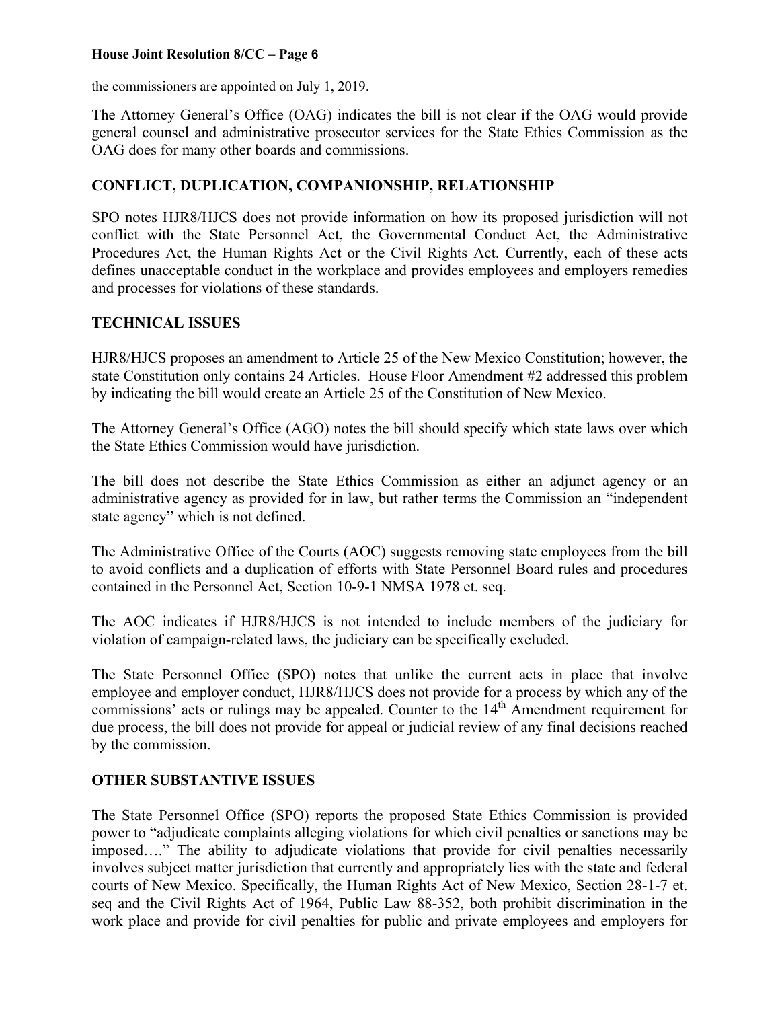the commissioners are appointed on July 1, 2019.

The Attorney General's Office (OAG) indicates the bill is not clear if the OAG would provide general counsel and administrative prosecutor services for the State Ethics Commission as the OAG does for many other boards and commissions.

# **CONFLICT, DUPLICATION, COMPANIONSHIP, RELATIONSHIP**

SPO notes HJR8/HJCS does not provide information on how its proposed jurisdiction will not conflict with the State Personnel Act, the Governmental Conduct Act, the Administrative Procedures Act, the Human Rights Act or the Civil Rights Act. Currently, each of these acts defines unacceptable conduct in the workplace and provides employees and employers remedies and processes for violations of these standards.

# **TECHNICAL ISSUES**

HJR8/HJCS proposes an amendment to Article 25 of the New Mexico Constitution; however, the state Constitution only contains 24 Articles. House Floor Amendment #2 addressed this problem by indicating the bill would create an Article 25 of the Constitution of New Mexico.

The Attorney General's Office (AGO) notes the bill should specify which state laws over which the State Ethics Commission would have jurisdiction.

The bill does not describe the State Ethics Commission as either an adjunct agency or an administrative agency as provided for in law, but rather terms the Commission an "independent state agency" which is not defined.

The Administrative Office of the Courts (AOC) suggests removing state employees from the bill to avoid conflicts and a duplication of efforts with State Personnel Board rules and procedures contained in the Personnel Act, Section 10-9-1 NMSA 1978 et. seq.

The AOC indicates if HJR8/HJCS is not intended to include members of the judiciary for violation of campaign-related laws, the judiciary can be specifically excluded.

The State Personnel Office (SPO) notes that unlike the current acts in place that involve employee and employer conduct, HJR8/HJCS does not provide for a process by which any of the commissions' acts or rulings may be appealed. Counter to the  $14<sup>th</sup>$  Amendment requirement for due process, the bill does not provide for appeal or judicial review of any final decisions reached by the commission.

## **OTHER SUBSTANTIVE ISSUES**

The State Personnel Office (SPO) reports the proposed State Ethics Commission is provided power to "adjudicate complaints alleging violations for which civil penalties or sanctions may be imposed…." The ability to adjudicate violations that provide for civil penalties necessarily involves subject matter jurisdiction that currently and appropriately lies with the state and federal courts of New Mexico. Specifically, the Human Rights Act of New Mexico, Section 28-1-7 et. seq and the Civil Rights Act of 1964, Public Law 88-352, both prohibit discrimination in the work place and provide for civil penalties for public and private employees and employers for